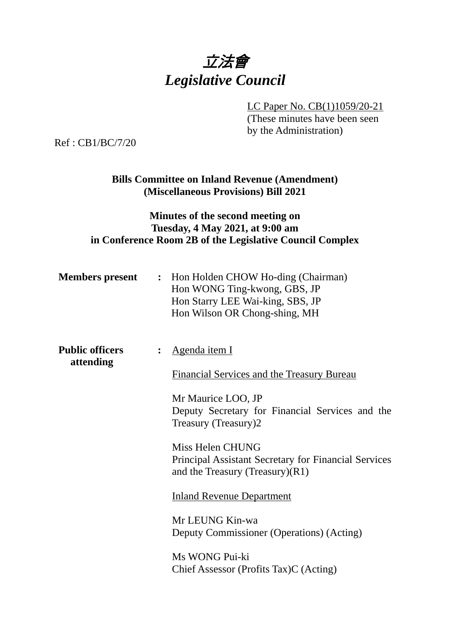

LC Paper No. CB(1)1059/20-21

(These minutes have been seen by the Administration)

Ref : CB1/BC/7/20

**Bills Committee on Inland Revenue (Amendment) (Miscellaneous Provisions) Bill 2021** 

## **Minutes of the second meeting on Tuesday, 4 May 2021, at 9:00 am in Conference Room 2B of the Legislative Council Complex**

| <b>Members present</b>              |                | : Hon Holden CHOW Ho-ding (Chairman)<br>Hon WONG Ting-kwong, GBS, JP<br>Hon Starry LEE Wai-king, SBS, JP<br>Hon Wilson OR Chong-shing, MH                                    |
|-------------------------------------|----------------|------------------------------------------------------------------------------------------------------------------------------------------------------------------------------|
| <b>Public officers</b><br>attending | $\ddot{\cdot}$ | <u>Agenda item I</u><br><b>Financial Services and the Treasury Bureau</b><br>Mr Maurice LOO, JP<br>Deputy Secretary for Financial Services and the<br>Treasury (Treasury)2   |
|                                     |                | Miss Helen CHUNG<br><b>Principal Assistant Secretary for Financial Services</b><br>and the Treasury (Treasury) $(R1)$<br><b>Inland Revenue Department</b><br>Mr LEUNG Kin-wa |

Deputy Commissioner (Operations) (Acting)

Ms WONG Pui-ki Chief Assessor (Profits Tax)C (Acting)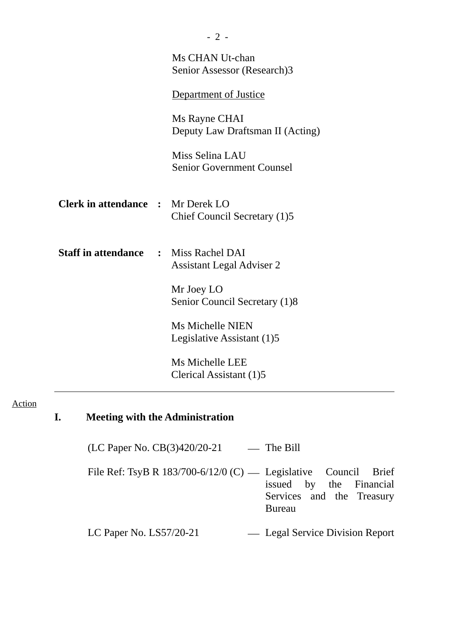|                                          | Ms CHAN Ut-chan<br>Senior Assessor (Research)3        |
|------------------------------------------|-------------------------------------------------------|
|                                          | Department of Justice                                 |
|                                          | Ms Rayne CHAI<br>Deputy Law Draftsman II (Acting)     |
|                                          | Miss Selina LAU<br><b>Senior Government Counsel</b>   |
| <b>Clerk in attendance : Mr Derek LO</b> | Chief Council Secretary (1)5                          |
| <b>Staff in attendance</b>               | : Miss Rachel DAI<br><b>Assistant Legal Adviser 2</b> |
|                                          | Mr Joey LO<br>Senior Council Secretary (1)8           |
|                                          | <b>Ms Michelle NIEN</b><br>Legislative Assistant (1)5 |
|                                          | Ms Michelle LEE<br>Clerical Assistant (1)5            |

### Action

# **I. Meeting with the Administration**

(LC Paper No. CB(3)420/20-21 – The Bill

File Ref: TsyB R 183/700-6/12/0 (C) — Legislative Council Brief issued by the Financial Services and the Treasury Bureau

LC Paper No. LS57/20-21 Legal Service Division Report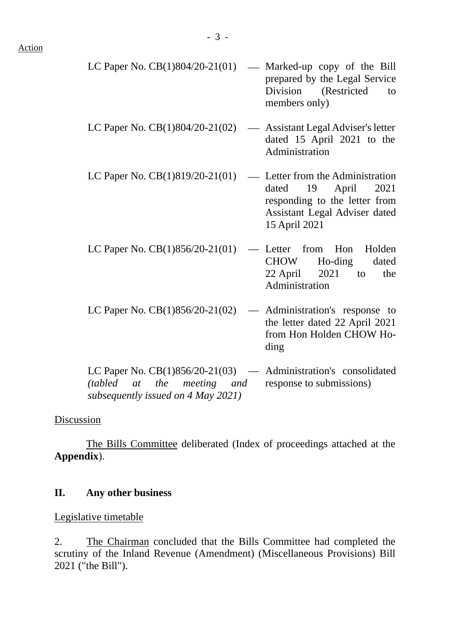| LC Paper No. $CB(1)804/20-21(01)$                                                                  | — Marked-up copy of the Bill<br>prepared by the Legal Service<br>Division (Restricted<br>to<br>members only)                                        |
|----------------------------------------------------------------------------------------------------|-----------------------------------------------------------------------------------------------------------------------------------------------------|
| LC Paper No. CB(1)804/20-21(02)                                                                    | — Assistant Legal Adviser's letter<br>dated 15 April 2021 to the<br>Administration                                                                  |
| LC Paper No. $CB(1)819/20-21(01)$                                                                  | — Letter from the Administration<br>dated<br>19<br>April<br>2021<br>responding to the letter from<br>Assistant Legal Adviser dated<br>15 April 2021 |
| LC Paper No. CB(1)856/20-21(01)                                                                    | - Letter from Hon Holden<br>CHOW<br>Ho-ding<br>dated<br>$22$ April $2021$ to<br>the<br>Administration                                               |
| LC Paper No. CB(1)856/20-21(02)                                                                    | Administration's response to<br>$\frac{1}{2}$<br>the letter dated 22 April 2021<br>from Hon Holden CHOW Ho-<br>ding                                 |
| LC Paper No. $CB(1)856/20-21(03)$ — Administration's consolidated<br>(tabled at the meeting<br>and | response to submissions)                                                                                                                            |

**Discussion** 

The Bills Committee deliberated (Index of proceedings attached at the **Appendix**).

*subsequently issued on 4 May 2021)*

## **II. Any other business**

Legislative timetable

2. The Chairman concluded that the Bills Committee had completed the scrutiny of the Inland Revenue (Amendment) (Miscellaneous Provisions) Bill 2021 ("the Bill").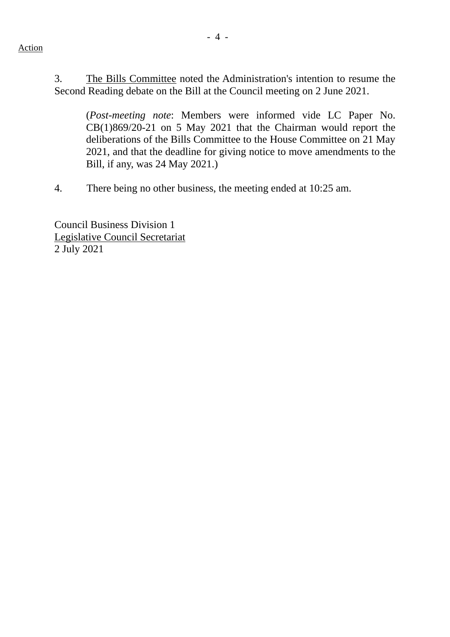#### Action

3. The Bills Committee noted the Administration's intention to resume the Second Reading debate on the Bill at the Council meeting on 2 June 2021.

(*Post-meeting note*: Members were informed vide LC Paper No. CB(1)869/20-21 on 5 May 2021 that the Chairman would report the deliberations of the Bills Committee to the House Committee on 21 May 2021, and that the deadline for giving notice to move amendments to the Bill, if any, was 24 May 2021.)

4. There being no other business, the meeting ended at 10:25 am.

Council Business Division 1 Legislative Council Secretariat 2 July 2021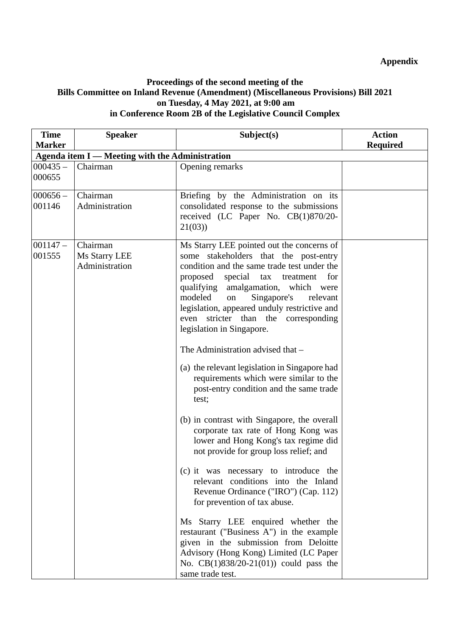#### **Proceedings of the second meeting of the Bills Committee on Inland Revenue (Amendment) (Miscellaneous Provisions) Bill 2021 on Tuesday, 4 May 2021, at 9:00 am in Conference Room 2B of the Legislative Council Complex**

| <b>Time</b><br><b>Marker</b> | <b>Speaker</b>                                  | Subject(s)                                                                                                                                                                                                                                                                                                                                                                                                                                                                                                                                                                                                                                                                                                                                                                                                                                                                                                      | <b>Action</b><br><b>Required</b> |
|------------------------------|-------------------------------------------------|-----------------------------------------------------------------------------------------------------------------------------------------------------------------------------------------------------------------------------------------------------------------------------------------------------------------------------------------------------------------------------------------------------------------------------------------------------------------------------------------------------------------------------------------------------------------------------------------------------------------------------------------------------------------------------------------------------------------------------------------------------------------------------------------------------------------------------------------------------------------------------------------------------------------|----------------------------------|
|                              | Agenda item I - Meeting with the Administration |                                                                                                                                                                                                                                                                                                                                                                                                                                                                                                                                                                                                                                                                                                                                                                                                                                                                                                                 |                                  |
| $000435 -$<br>000655         | Chairman                                        | Opening remarks                                                                                                                                                                                                                                                                                                                                                                                                                                                                                                                                                                                                                                                                                                                                                                                                                                                                                                 |                                  |
| $000656-$<br>001146          | Chairman<br>Administration                      | Briefing by the Administration on its<br>consolidated response to the submissions<br>received (LC Paper No. CB(1)870/20-<br>21(03)                                                                                                                                                                                                                                                                                                                                                                                                                                                                                                                                                                                                                                                                                                                                                                              |                                  |
| $001147 -$<br>001555         | Chairman<br>Ms Starry LEE<br>Administration     | Ms Starry LEE pointed out the concerns of<br>some stakeholders that the post-entry<br>condition and the same trade test under the<br>proposed<br>special tax treatment<br>for<br>qualifying<br>amalgamation, which were<br>modeled<br>Singapore's<br>on<br>relevant<br>legislation, appeared unduly restrictive and<br>stricter than the corresponding<br>even<br>legislation in Singapore.<br>The Administration advised that -<br>(a) the relevant legislation in Singapore had<br>requirements which were similar to the<br>post-entry condition and the same trade<br>test;<br>(b) in contrast with Singapore, the overall<br>corporate tax rate of Hong Kong was<br>lower and Hong Kong's tax regime did<br>not provide for group loss relief; and<br>(c) it was necessary to introduce the<br>relevant conditions into the Inland<br>Revenue Ordinance ("IRO") (Cap. 112)<br>for prevention of tax abuse. |                                  |
|                              |                                                 | Ms Starry LEE enquired whether the<br>restaurant ("Business A") in the example<br>given in the submission from Deloitte<br>Advisory (Hong Kong) Limited (LC Paper<br>No. CB(1)838/20-21(01)) could pass the<br>same trade test.                                                                                                                                                                                                                                                                                                                                                                                                                                                                                                                                                                                                                                                                                 |                                  |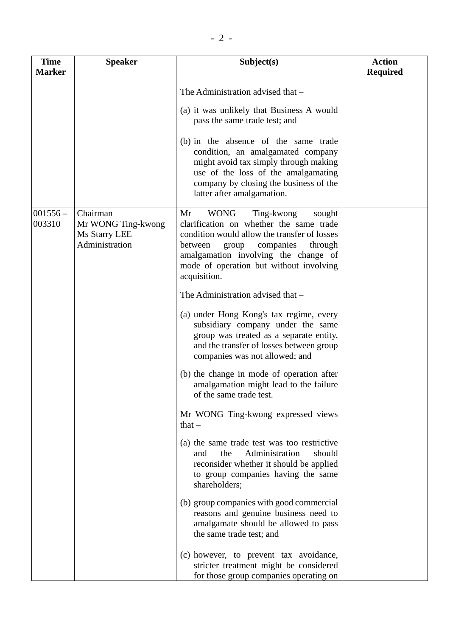| <b>Time</b><br><b>Marker</b> | <b>Speaker</b>                                                    | Subject(s)                                                                                                                                                                                                                                                                                                                                                          | <b>Action</b><br><b>Required</b> |
|------------------------------|-------------------------------------------------------------------|---------------------------------------------------------------------------------------------------------------------------------------------------------------------------------------------------------------------------------------------------------------------------------------------------------------------------------------------------------------------|----------------------------------|
|                              |                                                                   | The Administration advised that -<br>(a) it was unlikely that Business A would<br>pass the same trade test; and<br>(b) in the absence of the same trade<br>condition, an amalgamated company<br>might avoid tax simply through making<br>use of the loss of the amalgamating<br>company by closing the business of the<br>latter after amalgamation.                |                                  |
| $001556 -$<br>003310         | Chairman<br>Mr WONG Ting-kwong<br>Ms Starry LEE<br>Administration | Ting-kwong<br>Mr<br><b>WONG</b><br>sought<br>clarification on whether the same trade<br>condition would allow the transfer of losses<br>group<br>companies<br>through<br>between<br>amalgamation involving the change of<br>mode of operation but without involving<br>acquisition.<br>The Administration advised that -<br>(a) under Hong Kong's tax regime, every |                                  |
|                              |                                                                   | subsidiary company under the same<br>group was treated as a separate entity,<br>and the transfer of losses between group<br>companies was not allowed; and                                                                                                                                                                                                          |                                  |
|                              |                                                                   | (b) the change in mode of operation after<br>amalgamation might lead to the failure<br>of the same trade test.                                                                                                                                                                                                                                                      |                                  |
|                              |                                                                   | Mr WONG Ting-kwong expressed views<br>that $-$                                                                                                                                                                                                                                                                                                                      |                                  |
|                              |                                                                   | (a) the same trade test was too restrictive<br>Administration<br>and<br>the<br>should<br>reconsider whether it should be applied<br>to group companies having the same<br>shareholders;                                                                                                                                                                             |                                  |
|                              |                                                                   | (b) group companies with good commercial<br>reasons and genuine business need to<br>amalgamate should be allowed to pass<br>the same trade test; and                                                                                                                                                                                                                |                                  |
|                              |                                                                   | (c) however, to prevent tax avoidance,<br>stricter treatment might be considered<br>for those group companies operating on                                                                                                                                                                                                                                          |                                  |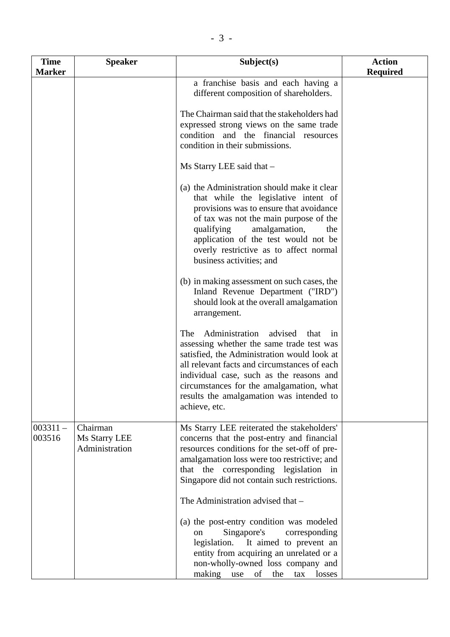| <b>Time</b><br><b>Marker</b> | <b>Speaker</b>                              | Subject(s)                                                                                                                                                                                                                                                                                                                                      | <b>Action</b><br><b>Required</b> |
|------------------------------|---------------------------------------------|-------------------------------------------------------------------------------------------------------------------------------------------------------------------------------------------------------------------------------------------------------------------------------------------------------------------------------------------------|----------------------------------|
|                              |                                             | a franchise basis and each having a<br>different composition of shareholders.                                                                                                                                                                                                                                                                   |                                  |
|                              |                                             | The Chairman said that the stakeholders had<br>expressed strong views on the same trade<br>condition and the financial resources<br>condition in their submissions.                                                                                                                                                                             |                                  |
|                              |                                             | Ms Starry LEE said that -                                                                                                                                                                                                                                                                                                                       |                                  |
|                              |                                             | (a) the Administration should make it clear<br>that while the legislative intent of<br>provisions was to ensure that avoidance<br>of tax was not the main purpose of the<br>qualifying<br>amalgamation,<br>the<br>application of the test would not be<br>overly restrictive as to affect normal<br>business activities; and                    |                                  |
|                              |                                             | (b) in making assessment on such cases, the<br>Inland Revenue Department ("IRD")<br>should look at the overall amalgamation<br>arrangement.                                                                                                                                                                                                     |                                  |
|                              |                                             | Administration<br>The<br>advised<br>that<br>in<br>assessing whether the same trade test was<br>satisfied, the Administration would look at<br>all relevant facts and circumstances of each<br>individual case, such as the reasons and<br>circumstances for the amalgamation, what<br>results the amalgamation was intended to<br>achieve, etc. |                                  |
| $003311 -$<br>003516         | Chairman<br>Ms Starry LEE<br>Administration | Ms Starry LEE reiterated the stakeholders'<br>concerns that the post-entry and financial<br>resources conditions for the set-off of pre-<br>amalgamation loss were too restrictive; and<br>that the corresponding legislation in<br>Singapore did not contain such restrictions.                                                                |                                  |
|                              |                                             | The Administration advised that -                                                                                                                                                                                                                                                                                                               |                                  |
|                              |                                             | (a) the post-entry condition was modeled<br>Singapore's<br>corresponding<br>on<br>legislation. It aimed to prevent an<br>entity from acquiring an unrelated or a<br>non-wholly-owned loss company and<br>making use of<br>the<br>tax losses                                                                                                     |                                  |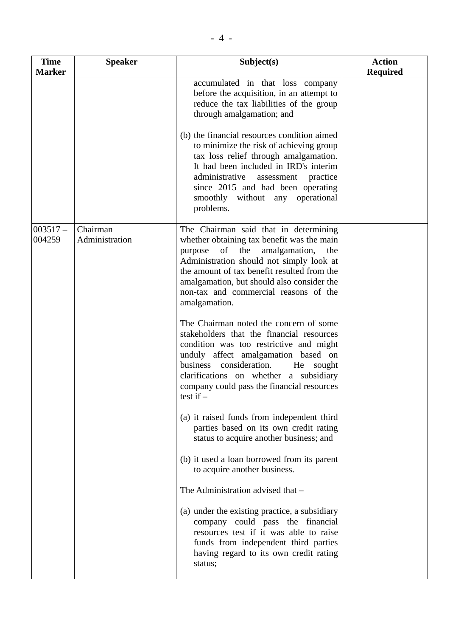| <b>Time</b>         | <b>Speaker</b>             | Subject(s)                                                                                                                                                                                                                                                                                                                          | <b>Action</b>   |
|---------------------|----------------------------|-------------------------------------------------------------------------------------------------------------------------------------------------------------------------------------------------------------------------------------------------------------------------------------------------------------------------------------|-----------------|
| <b>Marker</b>       |                            |                                                                                                                                                                                                                                                                                                                                     | <b>Required</b> |
|                     |                            | accumulated in that loss company<br>before the acquisition, in an attempt to<br>reduce the tax liabilities of the group<br>through amalgamation; and                                                                                                                                                                                |                 |
|                     |                            | (b) the financial resources condition aimed<br>to minimize the risk of achieving group<br>tax loss relief through amalgamation.<br>It had been included in IRD's interim<br>administrative<br>assessment practice<br>since 2015 and had been operating<br>smoothly without any operational<br>problems.                             |                 |
| $003517-$<br>004259 | Chairman<br>Administration | The Chairman said that in determining<br>whether obtaining tax benefit was the main<br>of the<br>purpose<br>amalgamation,<br>the<br>Administration should not simply look at<br>the amount of tax benefit resulted from the<br>amalgamation, but should also consider the<br>non-tax and commercial reasons of the<br>amalgamation. |                 |
|                     |                            | The Chairman noted the concern of some<br>stakeholders that the financial resources<br>condition was too restrictive and might<br>unduly affect amalgamation based on<br>business consideration.<br>He<br>sought<br>clarifications on whether a subsidiary<br>company could pass the financial resources<br>test if $-$             |                 |
|                     |                            | (a) it raised funds from independent third<br>parties based on its own credit rating<br>status to acquire another business; and                                                                                                                                                                                                     |                 |
|                     |                            | (b) it used a loan borrowed from its parent<br>to acquire another business.                                                                                                                                                                                                                                                         |                 |
|                     |                            | The Administration advised that -                                                                                                                                                                                                                                                                                                   |                 |
|                     |                            | (a) under the existing practice, a subsidiary<br>company could pass the financial<br>resources test if it was able to raise<br>funds from independent third parties<br>having regard to its own credit rating<br>status;                                                                                                            |                 |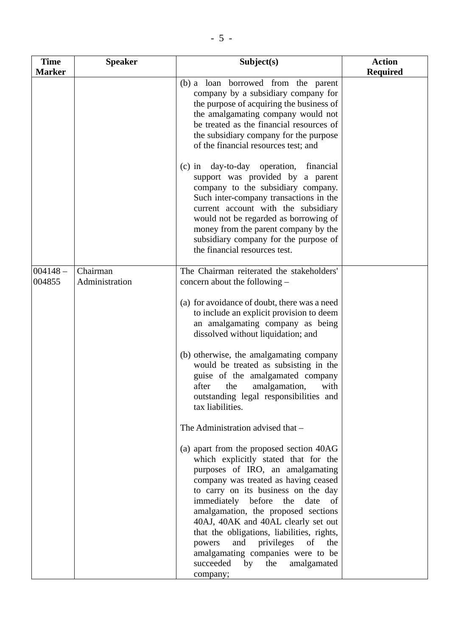| <b>Time</b>          | <b>Speaker</b>             | Subject(s)                                                                                                                                                                                                                                                                                                                                                                                                                                                                                     | <b>Action</b>   |
|----------------------|----------------------------|------------------------------------------------------------------------------------------------------------------------------------------------------------------------------------------------------------------------------------------------------------------------------------------------------------------------------------------------------------------------------------------------------------------------------------------------------------------------------------------------|-----------------|
| <b>Marker</b>        |                            |                                                                                                                                                                                                                                                                                                                                                                                                                                                                                                | <b>Required</b> |
|                      |                            | (b) a loan borrowed from the parent<br>company by a subsidiary company for<br>the purpose of acquiring the business of<br>the amalgamating company would not<br>be treated as the financial resources of<br>the subsidiary company for the purpose<br>of the financial resources test; and                                                                                                                                                                                                     |                 |
|                      |                            | day-to-day operation,<br>financial<br>$(c)$ in<br>support was provided by a parent<br>company to the subsidiary company.<br>Such inter-company transactions in the<br>current account with the subsidiary<br>would not be regarded as borrowing of<br>money from the parent company by the<br>subsidiary company for the purpose of<br>the financial resources test.                                                                                                                           |                 |
| $004148 -$<br>004855 | Chairman<br>Administration | The Chairman reiterated the stakeholders'<br>concern about the following –                                                                                                                                                                                                                                                                                                                                                                                                                     |                 |
|                      |                            | (a) for avoidance of doubt, there was a need<br>to include an explicit provision to deem<br>an amalgamating company as being<br>dissolved without liquidation; and                                                                                                                                                                                                                                                                                                                             |                 |
|                      |                            | (b) otherwise, the amalgamating company<br>would be treated as subsisting in the<br>guise of the amalgamated company<br>after<br>amalgamation,<br>the<br>with<br>outstanding legal responsibilities and<br>tax liabilities.                                                                                                                                                                                                                                                                    |                 |
|                      |                            | The Administration advised that -                                                                                                                                                                                                                                                                                                                                                                                                                                                              |                 |
|                      |                            | (a) apart from the proposed section 40AG<br>which explicitly stated that for the<br>purposes of IRO, an amalgamating<br>company was treated as having ceased<br>to carry on its business on the day<br>immediately before<br>date of<br>the<br>amalgamation, the proposed sections<br>40AJ, 40AK and 40AL clearly set out<br>that the obligations, liabilities, rights,<br>and<br>privileges<br>powers<br>of the<br>amalgamating companies were to be<br>succeeded<br>by<br>the<br>amalgamated |                 |
|                      |                            | company;                                                                                                                                                                                                                                                                                                                                                                                                                                                                                       |                 |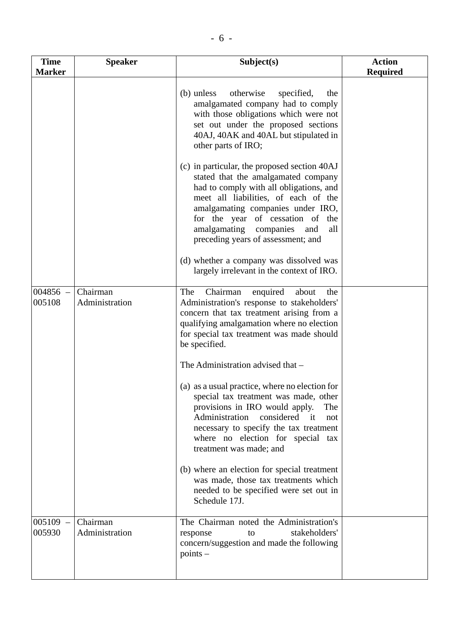| <b>Time</b><br><b>Marker</b> | <b>Speaker</b>             | Subject(s)                                                                                                                                                                                                                                                                                                                                                                                                                                                        | <b>Action</b><br><b>Required</b> |
|------------------------------|----------------------------|-------------------------------------------------------------------------------------------------------------------------------------------------------------------------------------------------------------------------------------------------------------------------------------------------------------------------------------------------------------------------------------------------------------------------------------------------------------------|----------------------------------|
|                              |                            | (b) unless otherwise<br>specified,<br>the<br>amalgamated company had to comply<br>with those obligations which were not<br>set out under the proposed sections<br>40AJ, 40AK and 40AL but stipulated in<br>other parts of IRO;                                                                                                                                                                                                                                    |                                  |
|                              |                            | (c) in particular, the proposed section 40AJ<br>stated that the amalgamated company<br>had to comply with all obligations, and<br>meet all liabilities, of each of the<br>amalgamating companies under IRO,<br>for the year of cessation of the<br>amalgamating companies<br>and<br>all<br>preceding years of assessment; and                                                                                                                                     |                                  |
|                              |                            | (d) whether a company was dissolved was<br>largely irrelevant in the context of IRO.                                                                                                                                                                                                                                                                                                                                                                              |                                  |
| $004856 -$<br>005108         | Chairman<br>Administration | Chairman<br>enquired<br>The<br>about<br>the<br>Administration's response to stakeholders'<br>concern that tax treatment arising from a<br>qualifying amalgamation where no election<br>for special tax treatment was made should<br>be specified.                                                                                                                                                                                                                 |                                  |
|                              |                            | The Administration advised that -<br>(a) as a usual practice, where no election for<br>special tax treatment was made, other<br>provisions in IRO would apply.<br>The<br>Administration<br>considered<br>$-$ it<br>not<br>necessary to specify the tax treatment<br>where no election for special tax<br>treatment was made; and<br>(b) where an election for special treatment<br>was made, those tax treatments which<br>needed to be specified were set out in |                                  |
|                              |                            | Schedule 17J.                                                                                                                                                                                                                                                                                                                                                                                                                                                     |                                  |
| 005109<br>005930             | Chairman<br>Administration | The Chairman noted the Administration's<br>stakeholders'<br>response<br>to<br>concern/suggestion and made the following<br>$points$ –                                                                                                                                                                                                                                                                                                                             |                                  |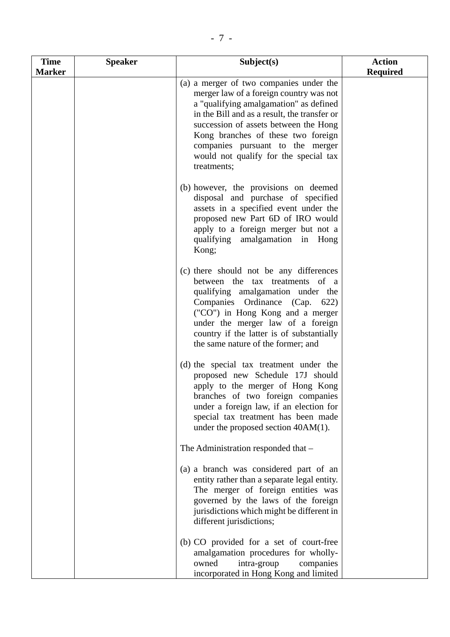| <b>Time</b>   | <b>Speaker</b> | Subject(s)                                                                                                                                                                                                                                                                                                                                              | <b>Action</b>   |
|---------------|----------------|---------------------------------------------------------------------------------------------------------------------------------------------------------------------------------------------------------------------------------------------------------------------------------------------------------------------------------------------------------|-----------------|
| <b>Marker</b> |                | (a) a merger of two companies under the<br>merger law of a foreign country was not<br>a "qualifying amalgamation" as defined<br>in the Bill and as a result, the transfer or<br>succession of assets between the Hong<br>Kong branches of these two foreign<br>companies pursuant to the merger<br>would not qualify for the special tax<br>treatments; | <b>Required</b> |
|               |                | (b) however, the provisions on deemed<br>disposal and purchase of specified<br>assets in a specified event under the<br>proposed new Part 6D of IRO would<br>apply to a foreign merger but not a<br>qualifying amalgamation in Hong<br>Kong;                                                                                                            |                 |
|               |                | (c) there should not be any differences<br>between the tax treatments of a<br>qualifying amalgamation under the<br>Companies Ordinance (Cap.<br>622)<br>("CO") in Hong Kong and a merger<br>under the merger law of a foreign<br>country if the latter is of substantially<br>the same nature of the former; and                                        |                 |
|               |                | (d) the special tax treatment under the<br>proposed new Schedule 17J should<br>apply to the merger of Hong Kong<br>branches of two foreign companies<br>under a foreign law, if an election for<br>special tax treatment has been made<br>under the proposed section 40AM(1).                                                                           |                 |
|               |                | The Administration responded that -                                                                                                                                                                                                                                                                                                                     |                 |
|               |                | (a) a branch was considered part of an<br>entity rather than a separate legal entity.<br>The merger of foreign entities was<br>governed by the laws of the foreign<br>jurisdictions which might be different in<br>different jurisdictions;                                                                                                             |                 |
|               |                | (b) CO provided for a set of court-free<br>amalgamation procedures for wholly-<br>owned<br>intra-group<br>companies<br>incorporated in Hong Kong and limited                                                                                                                                                                                            |                 |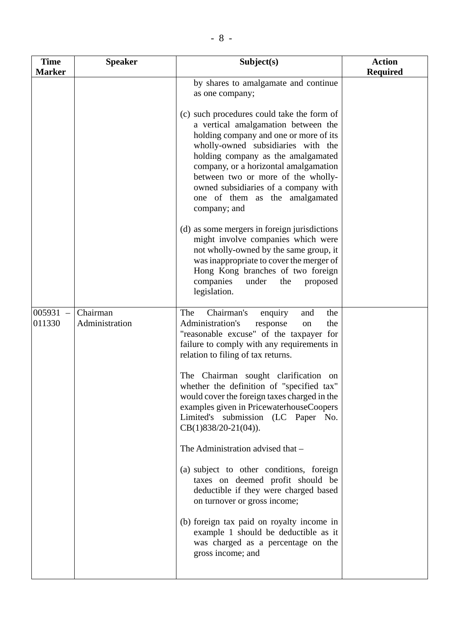| <b>Time</b><br><b>Marker</b> | <b>Speaker</b>             | Subject(s)                                                                                                                                                                                                                                                                                                                                                                       | <b>Action</b><br><b>Required</b> |
|------------------------------|----------------------------|----------------------------------------------------------------------------------------------------------------------------------------------------------------------------------------------------------------------------------------------------------------------------------------------------------------------------------------------------------------------------------|----------------------------------|
|                              |                            | by shares to amalgamate and continue<br>as one company;                                                                                                                                                                                                                                                                                                                          |                                  |
|                              |                            | (c) such procedures could take the form of<br>a vertical amalgamation between the<br>holding company and one or more of its<br>wholly-owned subsidiaries with the<br>holding company as the amalgamated<br>company, or a horizontal amalgamation<br>between two or more of the wholly-<br>owned subsidiaries of a company with<br>one of them as the amalgamated<br>company; and |                                  |
|                              |                            | (d) as some mergers in foreign jurisdictions<br>might involve companies which were<br>not wholly-owned by the same group, it<br>was inappropriate to cover the merger of<br>Hong Kong branches of two foreign<br>companies<br>under<br>the<br>proposed<br>legislation.                                                                                                           |                                  |
| 005931<br>$\equiv$<br>011330 | Chairman<br>Administration | Chairman's<br>the<br>The<br>and<br>enquiry<br>Administration's<br>response<br>the<br>on<br>"reasonable excuse" of the taxpayer for<br>failure to comply with any requirements in<br>relation to filing of tax returns.                                                                                                                                                           |                                  |
|                              |                            | The Chairman sought clarification on<br>whether the definition of "specified tax"<br>would cover the foreign taxes charged in the<br>examples given in PricewaterhouseCoopers<br>Limited's submission (LC Paper No.<br>$CB(1)838/20-21(04)).$                                                                                                                                    |                                  |
|                              |                            | The Administration advised that -                                                                                                                                                                                                                                                                                                                                                |                                  |
|                              |                            | (a) subject to other conditions, foreign<br>taxes on deemed profit should be<br>deductible if they were charged based<br>on turnover or gross income;                                                                                                                                                                                                                            |                                  |
|                              |                            | (b) foreign tax paid on royalty income in<br>example 1 should be deductible as it<br>was charged as a percentage on the<br>gross income; and                                                                                                                                                                                                                                     |                                  |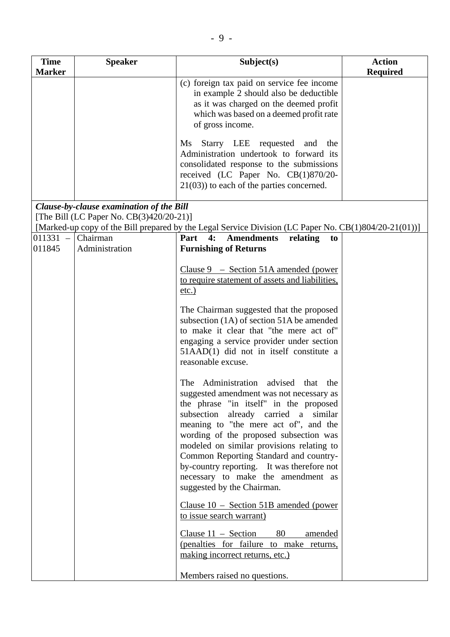| <b>Time</b>          | <b>Speaker</b>                           | Subject(s)                                                                                                                                                                                                                                                                                                                                                                                                                                                    | <b>Action</b>   |
|----------------------|------------------------------------------|---------------------------------------------------------------------------------------------------------------------------------------------------------------------------------------------------------------------------------------------------------------------------------------------------------------------------------------------------------------------------------------------------------------------------------------------------------------|-----------------|
| <b>Marker</b>        |                                          |                                                                                                                                                                                                                                                                                                                                                                                                                                                               | <b>Required</b> |
|                      |                                          | (c) foreign tax paid on service fee income<br>in example 2 should also be deductible<br>as it was charged on the deemed profit<br>which was based on a deemed profit rate<br>of gross income.                                                                                                                                                                                                                                                                 |                 |
|                      |                                          | Starry LEE requested and the<br>$\overline{\text{Ms}}$<br>Administration undertook to forward its<br>consolidated response to the submissions<br>received (LC Paper No. CB(1)870/20-<br>$21(03)$ ) to each of the parties concerned.                                                                                                                                                                                                                          |                 |
|                      | Clause-by-clause examination of the Bill |                                                                                                                                                                                                                                                                                                                                                                                                                                                               |                 |
|                      | [The Bill (LC Paper No. CB(3)420/20-21)] |                                                                                                                                                                                                                                                                                                                                                                                                                                                               |                 |
|                      |                                          | [Marked-up copy of the Bill prepared by the Legal Service Division (LC Paper No. CB(1)804/20-21(01))]                                                                                                                                                                                                                                                                                                                                                         |                 |
| $011331 -$<br>011845 | Chairman<br>Administration               | 4:<br><b>Amendments</b><br>Part<br>relating<br>to<br><b>Furnishing of Returns</b>                                                                                                                                                                                                                                                                                                                                                                             |                 |
|                      |                                          | Clause $9 -$ Section 51A amended (power<br>to require statement of assets and liabilities,<br>$etc.$ )                                                                                                                                                                                                                                                                                                                                                        |                 |
|                      |                                          | The Chairman suggested that the proposed<br>subsection (1A) of section 51A be amended<br>to make it clear that "the mere act of"<br>engaging a service provider under section<br>51AAD(1) did not in itself constitute a<br>reasonable excuse.                                                                                                                                                                                                                |                 |
|                      |                                          | The Administration advised that the<br>suggested amendment was not necessary as<br>the phrase "in itself" in the proposed<br>subsection already carried a similar<br>meaning to "the mere act of", and the<br>wording of the proposed subsection was<br>modeled on similar provisions relating to<br>Common Reporting Standard and country-<br>by-country reporting. It was therefore not<br>necessary to make the amendment as<br>suggested by the Chairman. |                 |
|                      |                                          | Clause $10$ – Section 51B amended (power<br>to issue search warrant)<br>Clause $11 -$ Section<br>80<br>amended                                                                                                                                                                                                                                                                                                                                                |                 |
|                      |                                          | (penalties for failure to make returns,<br>making incorrect returns, etc.)                                                                                                                                                                                                                                                                                                                                                                                    |                 |
|                      |                                          | Members raised no questions.                                                                                                                                                                                                                                                                                                                                                                                                                                  |                 |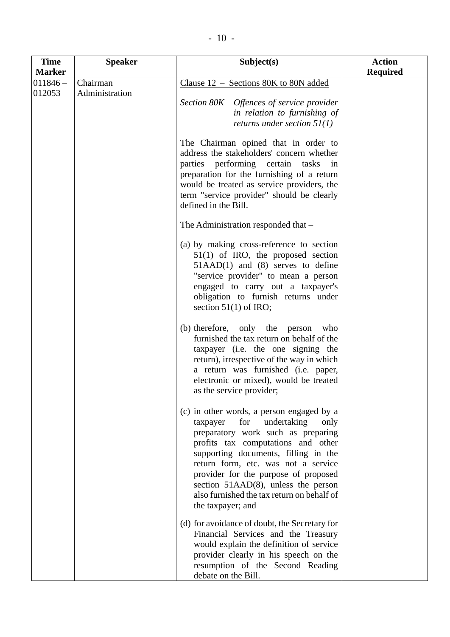| <b>Time</b>          | <b>Speaker</b>             | Subject(s)                                                                                                                                                                                                                                                                                                                                                                                          | <b>Action</b>   |
|----------------------|----------------------------|-----------------------------------------------------------------------------------------------------------------------------------------------------------------------------------------------------------------------------------------------------------------------------------------------------------------------------------------------------------------------------------------------------|-----------------|
| <b>Marker</b>        |                            |                                                                                                                                                                                                                                                                                                                                                                                                     | <b>Required</b> |
| $011846 -$<br>012053 | Chairman<br>Administration | Clause $12$ – Sections 80K to 80N added<br>Section 80K Offences of service provider<br>in relation to furnishing of<br>returns under section $51(1)$                                                                                                                                                                                                                                                |                 |
|                      |                            | The Chairman opined that in order to<br>address the stakeholders' concern whether<br>parties performing certain tasks<br>in<br>preparation for the furnishing of a return<br>would be treated as service providers, the<br>term "service provider" should be clearly<br>defined in the Bill.                                                                                                        |                 |
|                      |                            | The Administration responded that -                                                                                                                                                                                                                                                                                                                                                                 |                 |
|                      |                            | (a) by making cross-reference to section<br>$51(1)$ of IRO, the proposed section<br>$51AAD(1)$ and (8) serves to define<br>"service provider" to mean a person<br>engaged to carry out a taxpayer's<br>obligation to furnish returns under<br>section $51(1)$ of IRO;                                                                                                                               |                 |
|                      |                            | (b) therefore, only the<br>person<br>who<br>furnished the tax return on behalf of the<br>taxpayer (i.e. the one signing the<br>return), irrespective of the way in which<br>a return was furnished (i.e. paper,<br>electronic or mixed), would be treated<br>as the service provider;                                                                                                               |                 |
|                      |                            | (c) in other words, a person engaged by a<br>for<br>undertaking<br>taxpayer<br>only<br>preparatory work such as preparing<br>profits tax computations and other<br>supporting documents, filling in the<br>return form, etc. was not a service<br>provider for the purpose of proposed<br>section $51AAD(8)$ , unless the person<br>also furnished the tax return on behalf of<br>the taxpayer; and |                 |
|                      |                            | (d) for avoidance of doubt, the Secretary for<br>Financial Services and the Treasury<br>would explain the definition of service<br>provider clearly in his speech on the<br>resumption of the Second Reading<br>debate on the Bill.                                                                                                                                                                 |                 |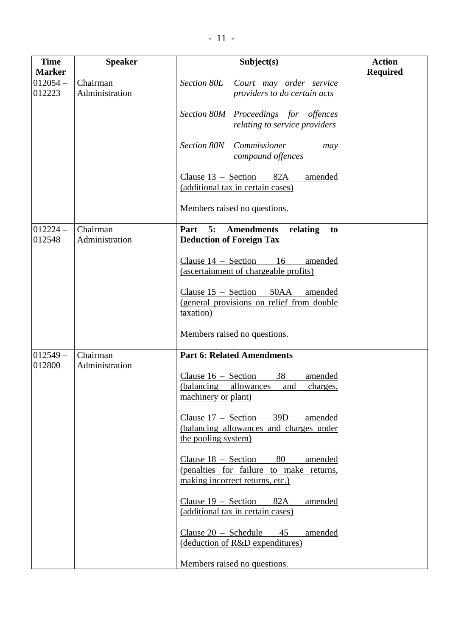| <b>Time</b><br><b>Marker</b> | <b>Speaker</b>             | Subject(s)                                                                                                           | <b>Action</b><br><b>Required</b> |
|------------------------------|----------------------------|----------------------------------------------------------------------------------------------------------------------|----------------------------------|
| $012054 -$<br>012223         | Chairman<br>Administration | Section 80L<br>Court may order service<br>providers to do certain acts                                               |                                  |
|                              |                            | Section 80M Proceedings for offences<br>relating to service providers                                                |                                  |
|                              |                            | Section 80N<br>Commissioner<br>may<br>compound offences                                                              |                                  |
|                              |                            | Clause $13 -$ Section<br>82A<br>amended<br>(additional tax in certain cases)                                         |                                  |
|                              |                            | Members raised no questions.                                                                                         |                                  |
| $012224 -$<br>012548         | Chairman<br>Administration | 5:<br>Part<br><b>Amendments</b><br>relating<br>to<br><b>Deduction of Foreign Tax</b>                                 |                                  |
|                              |                            | Clause $14$ – Section 16<br>amended<br>(ascertainment of chargeable profits)                                         |                                  |
|                              |                            | Clause $15 -$ Section<br>50AA<br>amended<br>(general provisions on relief from double<br>taxation)                   |                                  |
|                              |                            | Members raised no questions.                                                                                         |                                  |
| $012549 -$<br>012800         | Chairman<br>Administration | <b>Part 6: Related Amendments</b>                                                                                    |                                  |
|                              |                            | 38<br>Clause $16$ – Section<br>amended<br>(balancing<br>charges,<br><u>allowances</u><br>and<br>machinery or plant)  |                                  |
|                              |                            | Clause $17 -$ Section<br>39D<br>amended<br>(balancing allowances and charges under<br>the pooling system)            |                                  |
|                              |                            | Clause $18 -$ Section<br>80<br>amended<br>(penalties for failure to make returns,<br>making incorrect returns, etc.) |                                  |
|                              |                            | Clause $19$ – Section 82A<br>amended<br>(additional tax in certain cases)                                            |                                  |
|                              |                            | Clause $20$ – Schedule<br>amended<br>45<br>(deduction of R&D expenditures)                                           |                                  |
|                              |                            | Members raised no questions.                                                                                         |                                  |